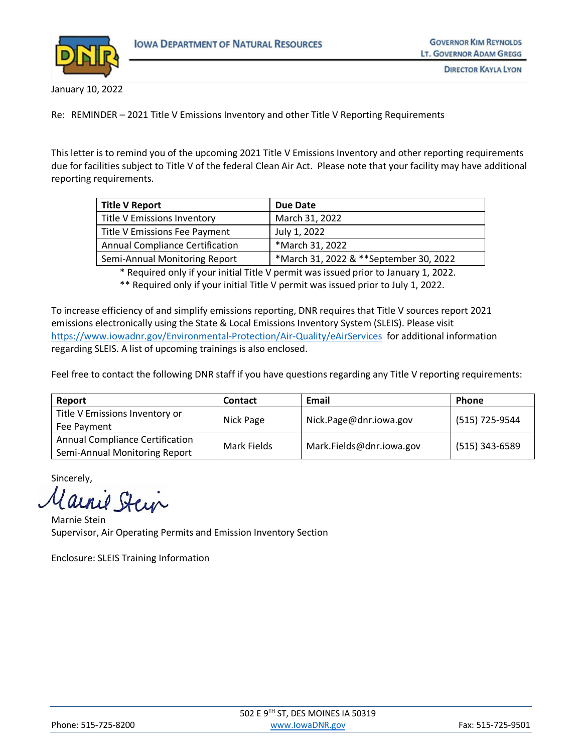

January 10, 2022

Re: REMINDER – 2021 Title V Emissions Inventory and other Title V Reporting Requirements

This letter is to remind you of the upcoming 2021 Title V Emissions Inventory and other reporting requirements due for facilities subject to Title V of the federal Clean Air Act. Please note that your facility may have additional reporting requirements.

| <b>Title V Report</b>                  | Due Date                               |
|----------------------------------------|----------------------------------------|
| Title V Emissions Inventory            | March 31, 2022                         |
| Title V Emissions Fee Payment          | July 1, 2022                           |
| <b>Annual Compliance Certification</b> | *March 31, 2022                        |
| Semi-Annual Monitoring Report          | *March 31, 2022 & **September 30, 2022 |

\* Required only if your initial Title V permit was issued prior to January 1, 2022.

\*\* Required only if your initial Title V permit was issued prior to July 1, 2022.

To increase efficiency of and simplify emissions reporting, DNR requires that Title V sources report 2021 emissions electronically using the State & Local Emissions Inventory System (SLEIS). Please visit <https://www.iowadnr.gov/Environmental-Protection/Air-Quality/eAirServices> for additional information regarding SLEIS. A list of upcoming trainings is also enclosed.

Feel free to contact the following DNR staff if you have questions regarding any Title V reporting requirements:

| Report                                                                  | <b>Contact</b> | Email                    | <b>Phone</b>   |
|-------------------------------------------------------------------------|----------------|--------------------------|----------------|
| Title V Emissions Inventory or<br>Fee Payment                           | Nick Page      | Nick.Page@dnr.iowa.gov   | (515) 725-9544 |
| <b>Annual Compliance Certification</b><br>Semi-Annual Monitoring Report | Mark Fields    | Mark.Fields@dnr.iowa.gov | (515) 343-6589 |

Sincerely,

Carrie Stein

Marnie Stein Supervisor, Air Operating Permits and Emission Inventory Section

Enclosure: SLEIS Training Information

| Phone: 515-725-8200 | www.lowaDNR.gov | Fax: 515-725-9501 |
|---------------------|-----------------|-------------------|